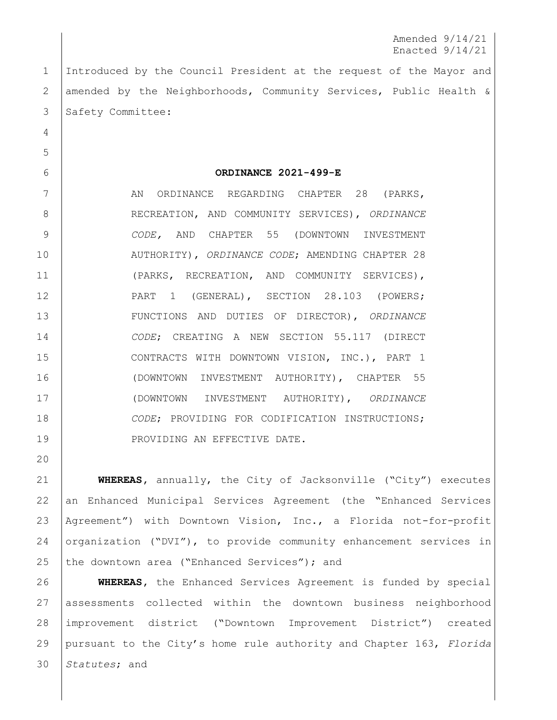Amended 9/14/21 Enacted 9/14/21

 Introduced by the Council President at the request of the Mayor and 2 amended by the Neighborhoods, Community Services, Public Health & 3 Safety Committee:

## **ORDINANCE 2021-499-E**

7 | AN ORDINANCE REGARDING CHAPTER 28 (PARKS, RECREATION, AND COMMUNITY SERVICES), *ORDINANCE CODE,* AND CHAPTER 55 (DOWNTOWN INVESTMENT AUTHORITY), *ORDINANCE CODE*; AMENDING CHAPTER 28 (PARKS, RECREATION, AND COMMUNITY SERVICES), 12 PART 1 (GENERAL), SECTION 28.103 (POWERS; FUNCTIONS AND DUTIES OF DIRECTOR), *ORDINANCE CODE*; CREATING A NEW SECTION 55.117 (DIRECT CONTRACTS WITH DOWNTOWN VISION, INC.), PART 1 (DOWNTOWN INVESTMENT AUTHORITY), CHAPTER 55 (DOWNTOWN INVESTMENT AUTHORITY), *ORDINANCE CODE*; PROVIDING FOR CODIFICATION INSTRUCTIONS; 19 | PROVIDING AN EFFECTIVE DATE.

 **WHEREAS,** annually, the City of Jacksonville ("City") executes an Enhanced Municipal Services Agreement (the "Enhanced Services Agreement") with Downtown Vision, Inc., a Florida not-for-profit organization ("DVI"), to provide community enhancement services in 25 the downtown area ("Enhanced Services"); and

 **WHEREAS,** the Enhanced Services Agreement is funded by special assessments collected within the downtown business neighborhood improvement district ("Downtown Improvement District") created pursuant to the City's home rule authority and Chapter 163, *Florida Statutes*; and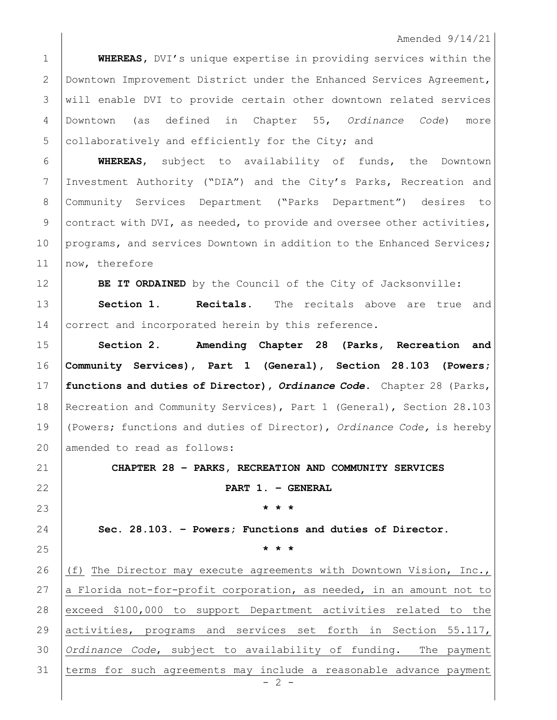## Amended 9/14/21

 **WHEREAS,** DVI's unique expertise in providing services within the Downtown Improvement District under the Enhanced Services Agreement, 3 will enable DVI to provide certain other downtown related services Downtown (as defined in Chapter 55, *Ordinance Code*) more 5 collaboratively and efficiently for the City; and

 **WHEREAS**, subject to availability of funds, the Downtown Investment Authority ("DIA") and the City's Parks, Recreation and Community Services Department ("Parks Department") desires to 9 contract with DVI, as needed, to provide and oversee other activities, 10 programs, and services Downtown in addition to the Enhanced Services; 11 | now, therefore

**BE IT ORDAINED** by the Council of the City of Jacksonville:

 **Section 1. Recitals.** The recitals above are true and 14 correct and incorporated herein by this reference.

 **Section 2. Amending Chapter 28 (Parks, Recreation and Community Services), Part 1 (General), Section 28.103 (Powers; functions and duties of Director),** *Ordinance Code.* Chapter 28 (Parks, Recreation and Community Services), Part 1 (General), Section 28.103 (Powers; functions and duties of Director), *Ordinance Code,* is hereby 20 amended to read as follows:

**CHAPTER 28 – PARKS, RECREATION AND COMMUNITY SERVICES**

**PART 1. – GENERAL** 

**\* \* \***

**Sec. 28.103. – Powers; Functions and duties of Director.**

**\* \* \***

 $- 2 -$  (f) The Director may execute agreements with Downtown Vision, Inc.,  $|a|$  Florida not-for-profit corporation, as needed, in an amount not to 28 exceed \$100,000 to support Department activities related to the activities, programs and services set forth in Section 55.117, *Ordinance Code*, subject to availability of funding. The payment terms for such agreements may include a reasonable advance payment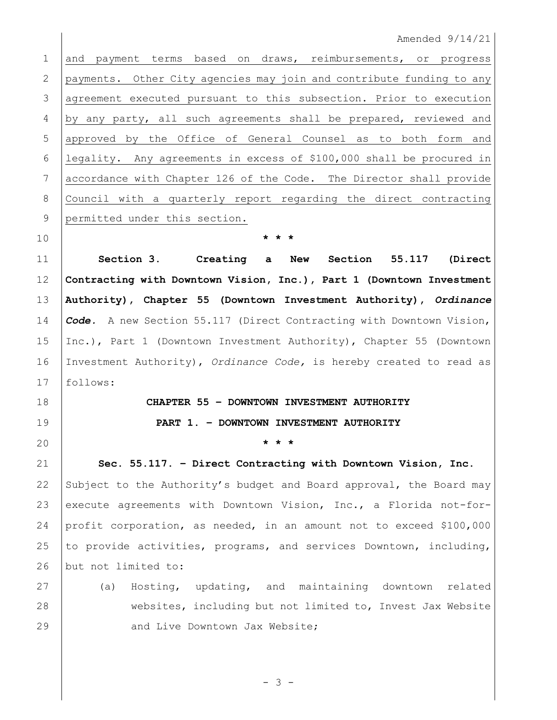Amended 9/14/21

 and payment terms based on draws, reimbursements, or progress payments. Other City agencies may join and contribute funding to any 3 | agreement executed pursuant to this subsection. Prior to execution by any party, all such agreements shall be prepared, reviewed and 5 approved by the Office of General Counsel as to both form and legality. Any agreements in excess of \$100,000 shall be procured in accordance with Chapter 126 of the Code. The Director shall provide Council with a quarterly report regarding the direct contracting 9 permitted under this section.

 **Section 3. Creating a New Section 55.117 (Direct Contracting with Downtown Vision, Inc.), Part 1 (Downtown Investment Authority), Chapter 55 (Downtown Investment Authority),** *Ordinance Code.* A new Section 55.117 (Direct Contracting with Downtown Vision, Inc.), Part 1 (Downtown Investment Authority), Chapter 55 (Downtown Investment Authority), *Ordinance Code,* is hereby created to read as follows:

**\* \* \***

## **CHAPTER 55 – DOWNTOWN INVESTMENT AUTHORITY PART 1. – DOWNTOWN INVESTMENT AUTHORITY**

**\* \* \***

 **Sec. 55.117. – Direct Contracting with Downtown Vision, Inc.** 22 Subject to the Authority's budget and Board approval, the Board may 23 execute agreements with Downtown Vision, Inc., a Florida not-for- profit corporation, as needed, in an amount not to exceed \$100,000 25 to provide activities, programs, and services Downtown, including, 26 but not limited to:

 (a) Hosting, updating, and maintaining downtown related websites, including but not limited to, Invest Jax Website **And Live Downtown Jax Website;** 

- 3 -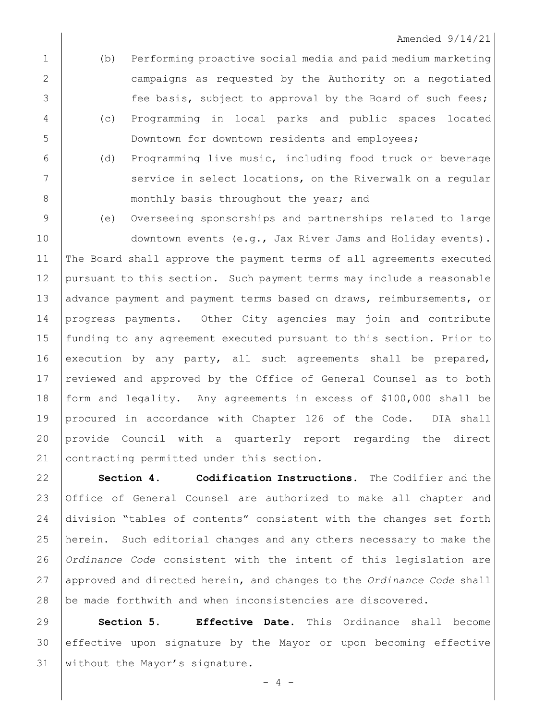- (b) Performing proactive social media and paid medium marketing campaigns as requested by the Authority on a negotiated 3 fee basis, subject to approval by the Board of such fees; (c) Programming in local parks and public spaces located Downtown for downtown residents and employees;
- (d) Programming live music, including food truck or beverage 7 | Service in select locations, on the Riverwalk on a regular 8 | monthly basis throughout the year; and

(e) Overseeing sponsorships and partnerships related to large

10 downtown events (e.g., Jax River Jams and Holiday events). The Board shall approve the payment terms of all agreements executed pursuant to this section. Such payment terms may include a reasonable 13 advance payment and payment terms based on draws, reimbursements, or progress payments. Other City agencies may join and contribute funding to any agreement executed pursuant to this section. Prior to execution by any party, all such agreements shall be prepared, 17 reviewed and approved by the Office of General Counsel as to both form and legality. Any agreements in excess of \$100,000 shall be procured in accordance with Chapter 126 of the Code. DIA shall provide Council with a quarterly report regarding the direct 21 contracting permitted under this section.

 **Section 4. Codification Instructions.** The Codifier and the Office of General Counsel are authorized to make all chapter and division "tables of contents" consistent with the changes set forth herein. Such editorial changes and any others necessary to make the *Ordinance Code* consistent with the intent of this legislation are approved and directed herein, and changes to the *Ordinance Code* shall 28 be made forthwith and when inconsistencies are discovered.

 **Section 5. Effective Date**. This Ordinance shall become effective upon signature by the Mayor or upon becoming effective without the Mayor's signature.

 $- 4 -$